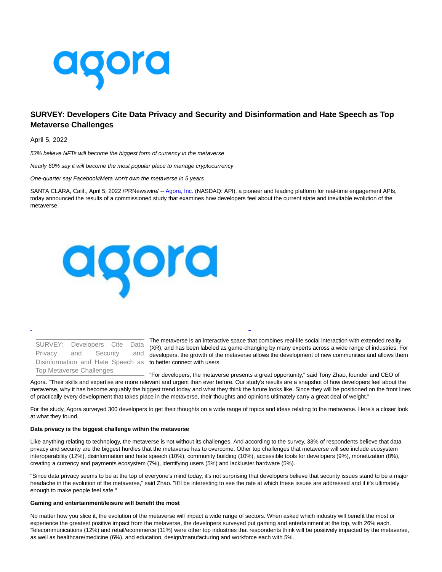

# **SURVEY: Developers Cite Data Privacy and Security and Disinformation and Hate Speech as Top Metaverse Challenges**

April 5, 2022

53% believe NFTs will become the biggest form of currency in the metaverse

Nearly 60% say it will become the most popular place to manage cryptocurrency

One-quarter say Facebook/Meta won't own the metaverse in 5 years

SANTA CLARA, Calif., April 5, 2022 /PRNewswire/ -[- Agora, Inc. \(](https://c212.net/c/link/?t=0&l=en&o=3494292-1&h=970559957&u=https%3A%2F%2Fagora.io%2F&a=Agora%2C+Inc.)NASDAQ: API), a pioneer and leading platform for real-time engagement APIs, today announced the results of a commissioned study that examines how developers feel about the current state and inevitable evolution of the metaverse.



Disinformation and Hate Speech as to better connect with users. SURVEY: Developers Cite Data Privacy and Security and Top Metaverse Challenges

The metaverse is an interactive space that combines real-life social interaction with extended reality (XR), and has been labeled as game-changing by many experts across a wide range of industries. For developers, the growth of the metaverse allows the development of new communities and allows them

L

"For developers, the metaverse presents a great opportunity," said Tony Zhao, founder and CEO of Agora. "Their skills and expertise are more relevant and urgent than ever before. Our study's results are a snapshot of how developers feel about the metaverse, why it has become arguably the biggest trend today and what they think the future looks like. Since they will be positioned on the front lines of practically every development that takes place in the metaverse, their thoughts and opinions ultimately carry a great deal of weight."

For the study, Agora surveyed 300 developers to get their thoughts on a wide range of topics and ideas relating to the metaverse. Here's a closer look at what they found.

#### **Data privacy is the biggest challenge within the metaverse**

Like anything relating to technology, the metaverse is not without its challenges. And according to the survey, 33% of respondents believe that data privacy and security are the biggest hurdles that the metaverse has to overcome. Other top challenges that metaverse will see include ecosystem interoperability (12%), disinformation and hate speech (10%), community building (10%), accessible tools for developers (9%), monetization (8%), creating a currency and payments ecosystem (7%), identifying users (5%) and lackluster hardware (5%).

"Since data privacy seems to be at the top of everyone's mind today, it's not surprising that developers believe that security issues stand to be a major headache in the evolution of the metaverse," said Zhao. "It'll be interesting to see the rate at which these issues are addressed and if it's ultimately enough to make people feel safe."

# **Gaming and entertainment/leisure will benefit the most**

No matter how you slice it, the evolution of the metaverse will impact a wide range of sectors. When asked which industry will benefit the most or experience the greatest positive impact from the metaverse, the developers surveyed put gaming and entertainment at the top, with 26% each. Telecommunications (12%) and retail/ecommerce (11%) were other top industries that respondents think will be positively impacted by the metaverse, as well as healthcare/medicine (6%), and education, design/manufacturing and workforce each with 5%.